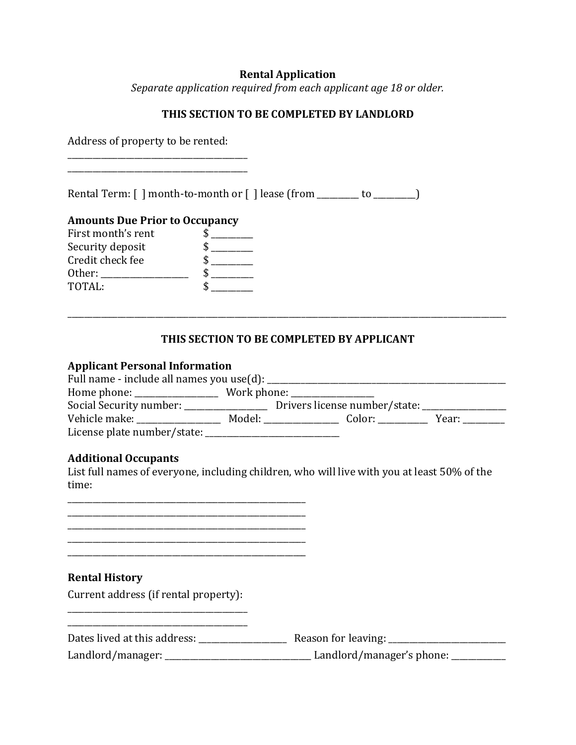### **Rental Application**

*Separate application required from each applicant age 18 or older.*

## **THIS SECTION TO BE COMPLETED BY LANDLORD**

Address of property to be rented: \_\_\_\_\_\_\_\_\_\_\_\_\_\_\_\_\_\_\_\_\_\_\_\_\_\_\_\_\_\_\_\_\_\_\_\_\_\_\_\_\_\_\_

\_\_\_\_\_\_\_\_\_\_\_\_\_\_\_\_\_\_\_\_\_\_\_\_\_\_\_\_\_\_\_\_\_\_\_\_\_\_\_\_\_\_\_

Rental Term: [ ] month-to-month or [ ] lease (from \_\_\_\_\_\_\_ to \_\_\_\_\_\_\_)

### **Amounts Due Prior to Occupancy**

| Ъ |
|---|
| Ж |
|   |
|   |
|   |

## **THIS SECTION TO BE COMPLETED BY APPLICANT**

\_\_\_\_\_\_\_\_\_\_\_\_\_\_\_\_\_\_\_\_\_\_\_\_\_\_\_\_\_\_\_\_\_\_\_\_\_\_\_\_\_\_\_\_\_\_\_\_\_\_\_\_\_\_\_\_\_\_\_\_\_\_\_\_\_\_\_\_\_\_\_\_\_\_\_\_\_\_\_\_\_\_\_\_\_\_\_\_\_\_\_\_\_\_\_\_\_\_\_\_\_\_\_\_\_

#### **Applicant Personal Information**

| Full name - include all names you use(d): ____                                                   |                  |                               |       |
|--------------------------------------------------------------------------------------------------|------------------|-------------------------------|-------|
| Home phone: $\sqrt{\frac{2}{1-\frac{1}{2}} + \frac{1}{2-\frac{1}{2}} + \frac{1}{2-\frac{1}{2}}}$ | Work phone: ____ |                               |       |
| Social Security number: _______________                                                          |                  | Drivers license number/state: |       |
| Vehicle make:                                                                                    | Model:           | Color: <b>color</b>           | Year: |
| License plate number/state:                                                                      |                  |                               |       |

### **Additional Occupants**

List full names of everyone, including children, who will live with you at least 50% of the time:

\_\_\_\_\_\_\_\_\_\_\_\_\_\_\_\_\_\_\_\_\_\_\_\_\_\_\_\_\_\_\_\_\_\_\_\_\_\_\_\_\_\_\_\_\_\_\_\_\_\_\_\_\_\_\_\_\_ \_\_\_\_\_\_\_\_\_\_\_\_\_\_\_\_\_\_\_\_\_\_\_\_\_\_\_\_\_\_\_\_\_\_\_\_\_\_\_\_\_\_\_\_\_\_\_\_\_\_\_\_\_\_\_\_\_ \_\_\_\_\_\_\_\_\_\_\_\_\_\_\_\_\_\_\_\_\_\_\_\_\_\_\_\_\_\_\_\_\_\_\_\_\_\_\_\_\_\_\_\_\_\_\_\_\_\_\_\_\_\_\_\_\_ \_\_\_\_\_\_\_\_\_\_\_\_\_\_\_\_\_\_\_\_\_\_\_\_\_\_\_\_\_\_\_\_\_\_\_\_\_\_\_\_\_\_\_\_\_\_\_\_\_\_\_\_\_\_\_\_\_

### **Rental History**

Current address (if rental property): \_\_\_\_\_\_\_\_\_\_\_\_\_\_\_\_\_\_\_\_\_\_\_\_\_\_\_\_\_\_\_\_\_\_\_\_\_\_\_\_\_\_\_

\_\_\_\_\_\_\_\_\_\_\_\_\_\_\_\_\_\_\_\_\_\_\_\_\_\_\_\_\_\_\_\_\_\_\_\_\_\_\_\_\_\_\_

| Dates lived at this address: | Reason for leaving:       |
|------------------------------|---------------------------|
| Landlord/manager:            | Landlord/manager's phone: |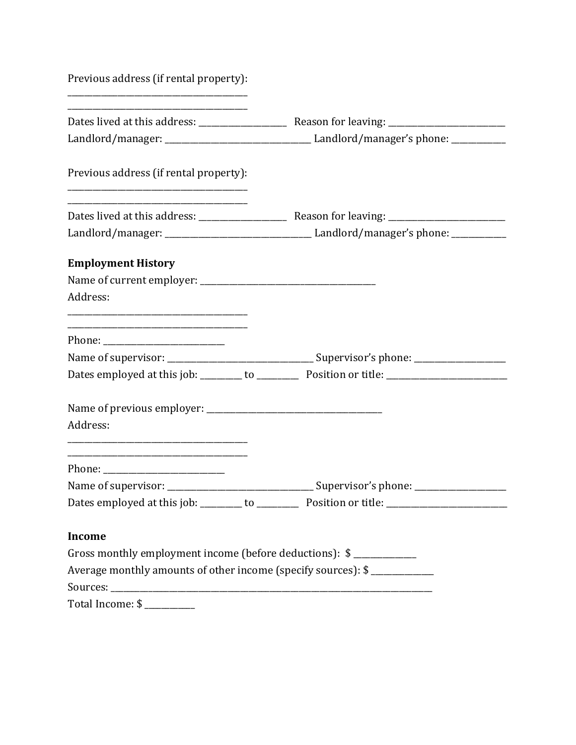| Previous address (if rental property):                                                                   |                                                                                                      |
|----------------------------------------------------------------------------------------------------------|------------------------------------------------------------------------------------------------------|
|                                                                                                          |                                                                                                      |
|                                                                                                          |                                                                                                      |
| Previous address (if rental property):<br><u> 1989 - Johann Barbara, margaret eta idazlea (h. 1989).</u> |                                                                                                      |
|                                                                                                          |                                                                                                      |
|                                                                                                          |                                                                                                      |
| <b>Employment History</b>                                                                                |                                                                                                      |
|                                                                                                          |                                                                                                      |
| Address:                                                                                                 |                                                                                                      |
|                                                                                                          |                                                                                                      |
|                                                                                                          |                                                                                                      |
|                                                                                                          |                                                                                                      |
|                                                                                                          |                                                                                                      |
| Address:                                                                                                 |                                                                                                      |
|                                                                                                          |                                                                                                      |
|                                                                                                          |                                                                                                      |
|                                                                                                          | Dates employed at this job: _______ to _________ Position or title: ________________________________ |
| <b>Income</b>                                                                                            |                                                                                                      |
| Gross monthly employment income (before deductions): \$                                                  |                                                                                                      |
| Average monthly amounts of other income (specify sources): \$                                            |                                                                                                      |
|                                                                                                          |                                                                                                      |

Total Income: \$ \_\_\_\_\_\_\_\_\_\_\_\_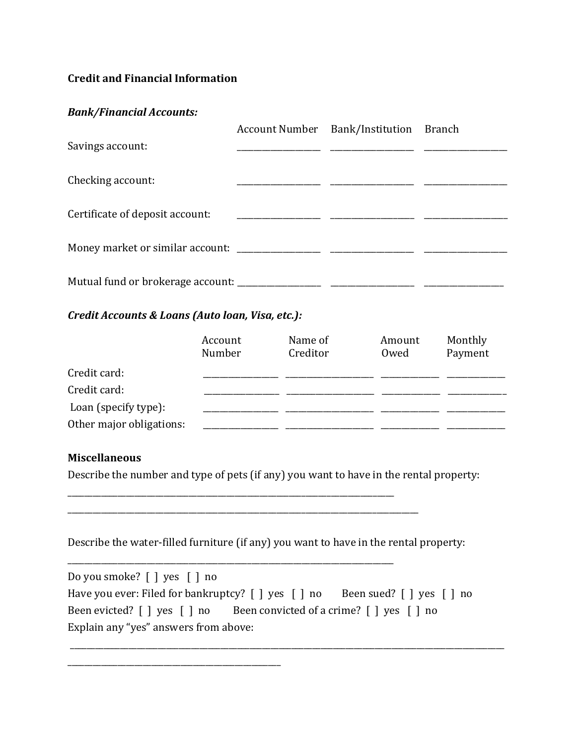## **Credit and Financial Information**

### *Bank/Financial Accounts:*

|                                 | Account Number Bank/Institution Branch |  |
|---------------------------------|----------------------------------------|--|
| Savings account:                |                                        |  |
|                                 |                                        |  |
| Checking account:               |                                        |  |
| Certificate of deposit account: |                                        |  |
|                                 |                                        |  |
|                                 |                                        |  |
|                                 |                                        |  |
|                                 |                                        |  |

# *Credit Accounts & Loans (Auto loan, Visa, etc.):*

|                          | Account<br>Number | Name of<br>Creditor | Amount<br>Owed | Monthly<br>Payment |
|--------------------------|-------------------|---------------------|----------------|--------------------|
| Credit card:             |                   |                     |                |                    |
| Credit card:             |                   |                     |                |                    |
| Loan (specify type):     |                   |                     |                |                    |
| Other major obligations: |                   |                     |                |                    |

### **Miscellaneous**

Describe the number and type of pets (if any) you want to have in the rental property:

\_\_\_\_\_\_\_\_\_\_\_\_\_\_\_\_\_\_\_\_\_\_\_\_\_\_\_\_\_\_\_\_\_\_\_\_\_\_\_\_\_\_\_\_\_\_\_\_\_\_\_\_\_\_\_\_\_\_\_\_\_\_\_\_\_\_\_\_\_\_\_\_\_\_\_\_\_\_

\_\_\_\_\_\_\_\_\_\_\_\_\_\_\_\_\_\_\_\_\_\_\_\_\_\_\_\_\_\_\_\_\_\_\_\_\_\_\_\_\_\_\_\_\_\_\_\_\_\_\_\_\_\_\_\_\_\_\_\_\_\_\_\_\_\_\_\_\_\_\_\_\_\_\_\_\_\_

\_\_\_\_\_\_\_\_\_\_\_\_\_\_\_\_\_\_\_\_\_\_\_\_\_\_\_\_\_\_\_\_\_\_\_\_\_\_\_\_\_\_\_\_\_\_\_\_\_\_\_

\_\_\_\_\_\_\_\_\_\_\_\_\_\_\_\_\_\_\_\_\_\_\_\_\_\_\_\_\_\_\_\_\_\_\_\_\_\_\_\_\_\_\_\_\_\_\_\_\_\_\_\_\_\_\_\_\_\_\_\_\_\_\_\_\_\_\_\_\_\_\_\_\_\_\_\_\_\_\_\_\_\_\_\_

Describe the water-filled furniture (if any) you want to have in the rental property:

| Do you smoke? $\lceil \cdot \rceil$ yes $\lceil \cdot \rceil$ no                                                                                      |  |  |
|-------------------------------------------------------------------------------------------------------------------------------------------------------|--|--|
| Have you ever: Filed for bankruptcy? $\lceil \cdot \rceil$ yes $\lceil \cdot \rceil$ no Been sued? $\lceil \cdot \rceil$ yes $\lceil \cdot \rceil$ no |  |  |
| Been evicted? $\lceil \cdot \rceil$ yes $\lceil \cdot \rceil$ no Been convicted of a crime? $\lceil \cdot \rceil$ yes $\lceil \cdot \rceil$ no        |  |  |
| Explain any "yes" answers from above:                                                                                                                 |  |  |

\_\_\_\_\_\_\_\_\_\_\_\_\_\_\_\_\_\_\_\_\_\_\_\_\_\_\_\_\_\_\_\_\_\_\_\_\_\_\_\_\_\_\_\_\_\_\_\_\_\_\_\_\_\_\_\_\_\_\_\_\_\_\_\_\_\_\_\_\_\_\_\_\_\_\_\_\_\_\_\_\_\_\_\_\_\_\_\_\_\_\_\_\_\_\_\_\_\_\_\_\_\_\_\_